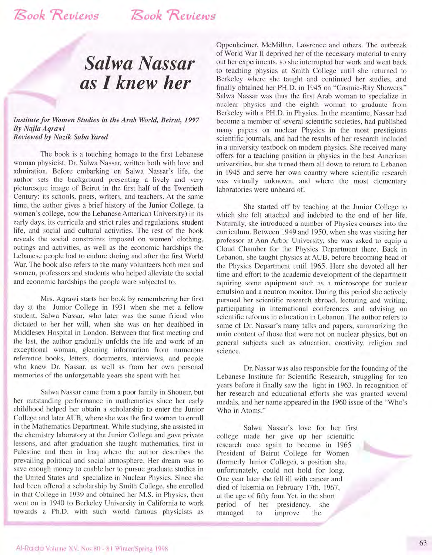## *Salwa Nassar as* **I** *knew her*

*Institute for Women Studies in the Arab World, Beirut, 1997 By Najla Aqrawi Reviewed by Nazik Saba fared* 

The book is a touching homage to the first Lebanese woman physicist, Dr. Salwa Nassar, written both with love and admiration. Before embarking on Salwa Nassar's life, the author sets the background presenting a lively and very picturesque image of Beirut in the first half of the Twentieth Century: its schools, poets, writers, and teachers. At the same time, the author gives a brief history of the Junior College, (a women's college, now the Lebanese American University) in its early days, its curricula and strict rules and regulations, student life, and social and cultural activities. The rest of the book reveals the social constraints imposed on women' clothing, outings and activities, as well as the economic hardships the Lebanese people had to endure during and after the first World War. The book also refers to the many volunteers both men and women, professors and students who helped alleviate the social and economic hardships the people were subjected to.

Mrs. Aqrawi starts her book by remembering her first day at the Junior College in 1931 when she met a fellow student, Salwa Nassar, who later was the same friend who dictated to her her will, when she was on her deathbed in Middlesex Hospital in London. Between that first meeting and the last, the author gradually unfolds the life and work of an exceptional woman, gleaning information from numerous reference books, letters, documents, interviews, and people who knew Dr. Nassar, as well as from her own personal memories of the unforgettable years she spent with her.

Salwa Nassar came from a poor family in Shoueir, but her outstanding performance in mathematics since her early childhood helped her obtain a scholarship to enter the Junior College and later AUB, where she was the first woman to enroll in the Mathematics Department. While studying, she assisted in the chemistry laboratory at the Junior College and gave private lessons, and after graduation she taught mathematics, first in Palestine and then in Iraq where the author describes the prevailing political and social atmosphere. Her dream was to save enough money to enable her to pursue graduate studies in the United States and specialize in Nuclear Physics. Since she had been offered a scholarship by Smith College, she enrolled in that College in 1939 and obtained her M.S. in Physics, then went on in 1940 to Berkeley University in California to work towards a Ph.D. with such world famous physicists as Oppenheimer, McMillan, Lawrence and others. The outbreak of World War II deprived her of the necessary material to carry out her experiments, so she interrupted her work and went back to teaching physics at Smith College until she returned to Berkeley where she taught and continued her studies, and finally obtained her PH.D. in 1945 on "Cosmic-Ray Showers." Salwa Nassar was thus the first Arab woman to specialize in nuclear physics and the eighth woman to graduate from Berkeley with a PH.D. in Physics. In the meantime, Nassar had become a member of several scientific societies, had published many papers on nuclear Physics in the most prestigious scientific journals, and had the results of her research included in a university textbook on modern physics. She received many offers for a teaching position in physics in the best American universities, but she turned them all down to return to Lebanon in 1945 and serve her own country where scientific research was virtually unknown, and where the most elementary laboratories were unheard of.

She started off by teaching at the Junior College to which she felt attached and indebted to the end of her life. Naturally, she introduced a number of Physics courses into the curriculum. Between 1949 and 1950, when she was visiting her professor at Ann Arbor University, she was asked to equip a Cloud Chamber for the Physics Department there. Back in Lebanon, she taught physics at AUB, before becoming head of the Physics Department until 1965. Here she devoted all her time and effort to the academic development of the department aquiring some equipment such as a microscope for nuclear emulsion and a neutron monitor. During this period she actively pursued her scientific research abroad, lecturing and writing, participating in international conferences and advising on scientific reforms in education in Lebanon. The author refers to some of Dr. Nassar's many talks and papers, summarizing the main content of those that were not on nuclear physics, but on general subjects such as education, creativity, religion and science.

Dr. Nassar was also responsible for the founding of the Lebanese Institute for Scientific Research, struggling for ten years before it finally saw the light in 1963. In recognition of her research and educational efforts she was granted several medals, and her name appeared in the 1960 issue of the "Who's Who in Atoms."

Salwa Nassar's love for her first college made her give up her scientific research once again to become in 1965 President of Beirut College for Women (formerly Junior College), a position she, unfortunately, could not hold for long. One year later she fell ill with cancer and died of lukemia on February 17th, 1967, at the age of fifty four. Yet, in the short period of her presidency, she managed to improve the